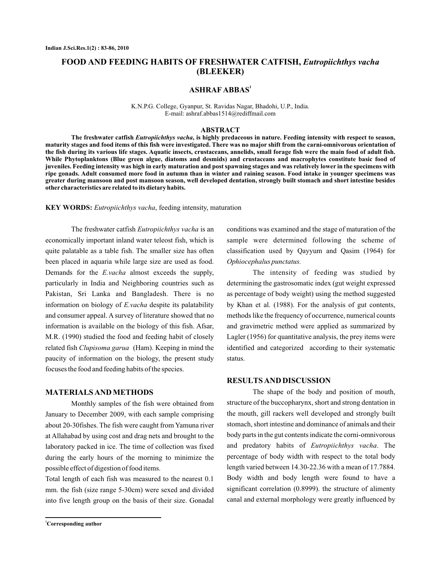# **FOOD AND FEEDING HABITS OF FRESHWATER CATFISH,** *Eutropiichthys vacha* **(BLEEKER)**

## **ASHRAF ABBAS<sup>1</sup>**

K.N.P.G. College, Gyanpur, St. Ravidas Nagar, Bhadohi, U.P., India. E-mail: ashraf.abbas1514@rediffmail.com

### **ABSTRACT**

The freshwater catfish *Eutropiichthys vacha*, is highly predaceous in nature. Feeding intensity with respect to season, **maturity stages and food items of this fish were investigated. There was no major shift from the carni-omnivorous orientation of the fish during its various life stages. Aquatic insects, crustaceans, annelids, small forage fish were the main food of adult fish. While Phytoplanktons (Blue green algue, diatoms and desmids) and crustaceans and macrophytes constitute basic food of juveniles. Feeding intensity was high in early maturation and post spawning stages and was relatively lower in the specimens with ripe gonads. Adult consumed more food in autumn than in winter and raining season. Food intake in younger specimens was greater during mansoon and post mansoon season, well developed dentation, strongly built stomach and short intestine besides other characteristics are related to its dietary habits.**

KEY WORDS: Eutropiichthys vacha, feeding intensity, maturation

The freshwater catfish *Eutropiichthys vacha* is an economically important inland water teleost fish, which is quite palatable as a table fish. The smaller size has often been placed in aquaria while large size are used as food. Demands for the *E.vacha* almost exceeds the supply, particularly in India and Neighboring countries such as Pakistan, Sri Lanka and Bangladesh. There is no information on biology of E.vacha despite its palatability and consumer appeal. A survey of literature showed that no information is available on the biology of this fish. Afsar, M.R. (1990) studied the food and feeding habit of closely related fish Clupisoma garua (Ham). Keeping in mind the paucity of information on the biology, the present study focuses the food and feeding habits of the species.

#### **MATERIALS AND METHODS**

Monthly samples of the fish were obtained from January to December 2009, with each sample comprising about 20-30fishes. The fish were caught from Yamuna river at Allahabad by using cost and drag nets and brought to the laboratory packed in ice. The time of collection was fixed during the early hours of the morning to minimize the possible effect of digestion of food items.

Total length of each fish was measured to the nearest 0.1 mm. the fish (size range 5-30cm) were sexed and divided into five length group on the basis of their size. Gonadal conditions was examined and the stage of maturation of the sample were determined following the scheme of classification used by Qayyum and Qasim (1964) for *Ophiocephalus punctatus.*

The intensity of feeding was studied by determining the gastrosomatic index (gut weight expressed as percentage of body weight) using the method suggested by Khan et al. (1988). For the analysis of gut contents, methods like the frequency of occurrence, numerical counts and gravimetric method were applied as summarized by Lagler (1956) for quantitative analysis, the prey items were identified and categorized according to their systematic status.

# **RESULTS AND DISCUSSION**

The shape of the body and position of mouth, structure of the buccopharynx, short and strong dentation in the mouth, gill rackers well developed and strongly built stomach, short intestine and dominance of animals and their body parts in the gut contents indicate the corni-omnivorous and predatory habits of Eutropiichthys vacha. The percentage of body width with respect to the total body length varied between 14.30-22.36 with a mean of 17.7884. Body width and body length were found to have a significant correlation (0.8999). the structure of alimenty canal and external morphology were greatly influenced by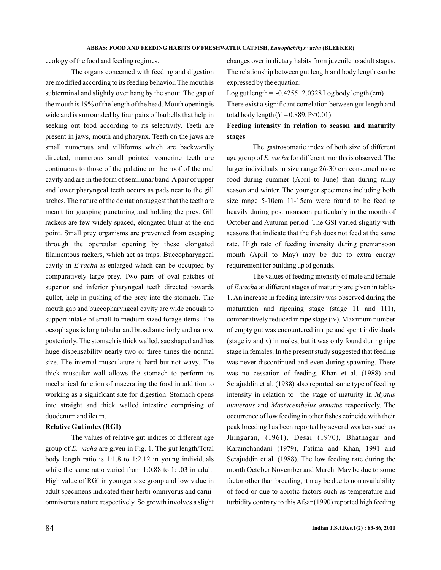ecology of the food and feeding regimes.

The organs concerned with feeding and digestion are modified according to its feeding behavior. The mouth is subterminal and slightly over hang by the snout. The gap of the mouth is 19% of the length of the head. Mouth opening is wide and is surrounded by four pairs of barbells that help in seeking out food according to its selectivity. Teeth are present in jaws, mouth and pharynx. Teeth on the jaws are small numerous and villiforms which are backwardly directed, numerous small pointed vomerine teeth are continuous to those of the palatine on the roof of the oral cavity and are in the form of semilunar band.Apair of upper and lower pharyngeal teeth occurs as pads near to the gill arches. The nature of the dentation suggest that the teeth are meant for grasping puncturing and holding the prey. Gill rackers are few widely spaced, elongated blunt at the end point. Small prey organisms are prevented from escaping through the opercular opening by these elongated filamentous rackers, which act as traps. Buccopharyngeal cavity in *E.vacha is* enlarged which can be occupied by comparatively large prey. Two pairs of oval patches of superior and inferior pharyngeal teeth directed towards gullet, help in pushing of the prey into the stomach. The mouth gap and buccopharyngeal cavity are wide enough to support intake of small to medium sized forage items. The oesophagus is long tubular and broad anteriorly and narrow posteriorly. The stomach is thick walled, sac shaped and has huge dispensability nearly two or three times the normal size. The internal musculature is hard but not wavy. The thick muscular wall allows the stomach to perform its mechanical function of macerating the food in addition to working as a significant site for digestion. Stomach opens into straight and thick walled intestine comprising of duodenum and ileum.

## **Relative Gut index (RGI)**

The values of relative gut indices of different age group of *E. vacha* are given in Fig. 1. The gut length/Total body length ratio is 1:1.8 to 1:2.12 in young individuals while the same ratio varied from 1:0.88 to 1: .03 in adult. High value of RGI in younger size group and low value in adult specimens indicated their herbi-omnivorus and carniomnivorous nature respectively. So growth involves a slight changes over in dietary habits from juvenile to adult stages. The relationship between gut length and body length can be expressed by the equation:

Log gut length  $= -0.4255 + 2.0328$  Log body length (cm) There exist a significant correlation between gut length and total body length (' $r' = 0.889$ ,  $P < 0.01$ )

# **Feeding intensity in relation to season and maturity stages**

The gastrosomatic index of both size of different age group of E. vacha for different months is observed. The larger individuals in size range 26-30 cm consumed more food during summer (April to June) than during rainy season and winter. The younger specimens including both size range 5-10cm 11-15cm were found to be feeding heavily during post monsoon particularly in the month of October and Autumn period. The GSI varied slightly with seasons that indicate that the fish does not feed at the same rate. High rate of feeding intensity during premansoon month (April to May) may be due to extra energy requirement for building up of gonads.

The values of feeding intensity of male and female of E.vacha at different stages of maturity are given in table-1. An increase in feeding intensity was observed during the maturation and ripening stage (stage 11 and 111), comparatively reduced in ripe stage (iv). Maximum number of empty gut was encountered in ripe and spent individuals (stage iv and v) in males, but it was only found during ripe stage in females. In the present study suggested that feeding was never discontinued and even during spawning. There was no cessation of feeding. Khan et al. (1988) and Serajuddin et al. (1988) also reported same type of feeding intensity in relation to the stage of maturity in *Mystus* numerous and Mastacembelus armatus respectively. The occurrence of low feeding in other fishes coincide with their peak breeding has been reported by several workers such as Jhingaran, (1961), Desai (1970), Bhatnagar and Karamchandani (1979), Fatima and Khan, 1991 and Serajuddin et al. (1988). The low feeding rate during the month October November and March May be due to some factor other than breeding, it may be due to non availability of food or due to abiotic factors such as temperature and turbidity contrary to this Afsar (1990) reported high feeding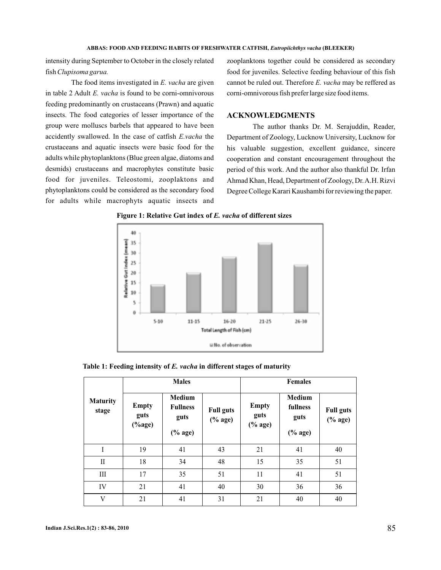intensity during September to October in the closely related fish *Clupisoma garua.*

The food items investigated in E. vacha are given in table 2 Adult E. vacha is found to be corni-omnivorous feeding predominantly on crustaceans (Prawn) and aquatic insects. The food categories of lesser importance of the group were molluscs barbels that appeared to have been accidently swallowed. In the case of catfish E.vacha the crustaceans and aquatic insects were basic food for the adults while phytoplanktons (Blue green algae, diatoms and desmids) crustaceans and macrophytes constitute basic food for juveniles. Teleostomi, zooplaktons and phytoplanktons could be considered as the secondary food for adults while macrophyts aquatic insects and zooplanktons together could be considered as secondary food for juveniles. Selective feeding behaviour of this fish cannot be ruled out. Therefore E. vacha may be reffered as corni-omnivorous fish prefer large size food items.

## **ACKNOWLEDGMENTS**

The author thanks Dr. M. Serajuddin, Reader, Department of Zoology, Lucknow University, Lucknow for his valuable suggestion, excellent guidance, sincere cooperation and constant encouragement throughout the period of this work. And the author also thankful Dr. Irfan Ahmad Khan, Head, Department of Zoology, Dr.A.H. Rizvi Degree College Karari Kaushambi for reviewing the paper.



Figure 1: Relative Gut index of E. vacha of different sizes

|                          | <b>Males</b>                                    |                                                        |                                                                | <b>Females</b>                                                     |                                                 |                                                                    |
|--------------------------|-------------------------------------------------|--------------------------------------------------------|----------------------------------------------------------------|--------------------------------------------------------------------|-------------------------------------------------|--------------------------------------------------------------------|
| <b>Maturity</b><br>stage | <b>Empty</b><br>guts<br>$(% \mathbf{A})$ (%age) | <b>Medium</b><br><b>Fullness</b><br>guts<br>$(\%$ age) | <b>Full guts</b><br>$(% \mathbf{A}\otimes \mathbf{A})$ (% age) | <b>Empty</b><br>guts<br>$(% \mathbf{A}\otimes \mathbf{A})$ (% age) | <b>Medium</b><br>fullness<br>guts<br>$(\%$ age) | <b>Full guts</b><br>$(% \mathbf{A}\rightarrow \mathbf{A})$ (% age) |
| $\mathbf{I}$             | 19                                              | 41                                                     | 43                                                             | 21                                                                 | 41                                              | 40                                                                 |
| $_{\rm II}$              | 18                                              | 34                                                     | 48                                                             | 15                                                                 | 35                                              | 51                                                                 |
| Ш                        | 17                                              | 35                                                     | 51                                                             | 11                                                                 | 41                                              | 51                                                                 |
| IV                       | 21                                              | 41                                                     | 40                                                             | 30                                                                 | 36                                              | 36                                                                 |
| V                        | 21                                              | 41                                                     | 31                                                             | 21                                                                 | 40                                              | 40                                                                 |